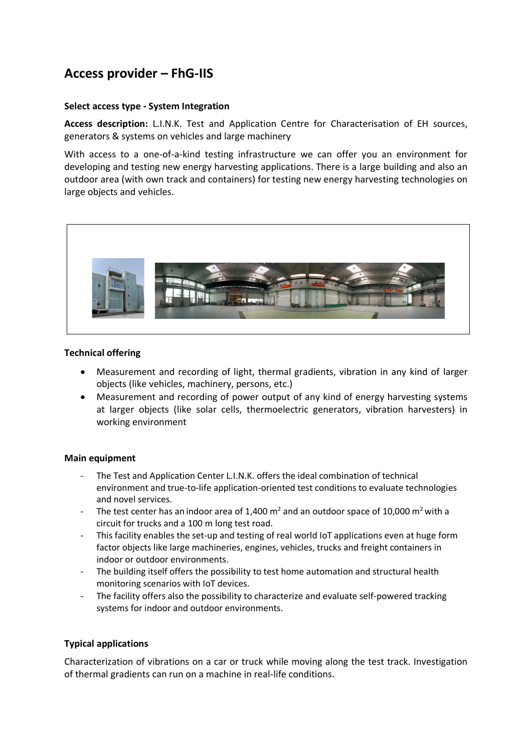# **Access provider – FhG-IIS**

#### **Select access type - System Integration**

**Access description:** L.I.N.K. Test and Application Centre for Characterisation of EH sources, generators & systems on vehicles and large machinery

With access to a one-of-a-kind testing infrastructure we can offer you an environment for developing and testing new energy harvesting applications. There is a large building and also an outdoor area (with own track and containers) for testing new energy harvesting technologies on large objects and vehicles.



#### **Technical offering**

- Measurement and recording of light, thermal gradients, vibration in any kind of larger objects (like vehicles, machinery, persons, etc.)
- Measurement and recording of power output of any kind of energy harvesting systems at larger objects (like solar cells, thermoelectric generators, vibration harvesters) in working environment

#### **Main equipment**

- The Test and Application Center L.I.N.K. offers the ideal combination of technical environment and true-to-life application-oriented test conditions to evaluate technologies and novel services.
- The test center has an indoor area of 1,400  $m^2$  and an outdoor space of 10,000  $m^2$  with a circuit for trucks and a 100 m long test road.
- This facility enables the set-up and testing of real world IoT applications even at huge form factor objects like large machineries, engines, vehicles, trucks and freight containers in indoor or outdoor environments.
- The building itself offers the possibility to test home automation and structural health monitoring scenarios with IoT devices.
- The facility offers also the possibility to characterize and evaluate self-powered tracking systems for indoor and outdoor environments.

### **Typical applications**

Characterization of vibrations on a car or truck while moving along the test track. Investigation of thermal gradients can run on a machine in real-life conditions.